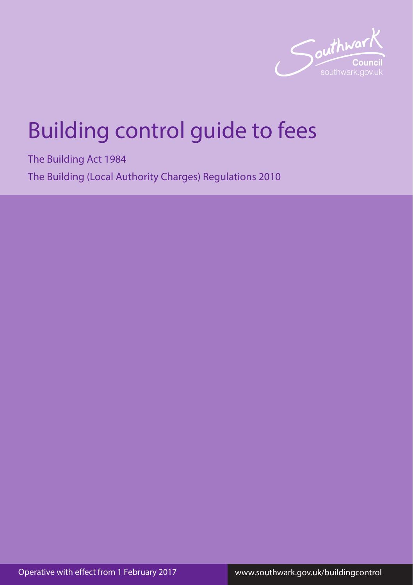

# Building control guide to fees

The Building Act 1984 The Building (Local Authority Charges) Regulations 2010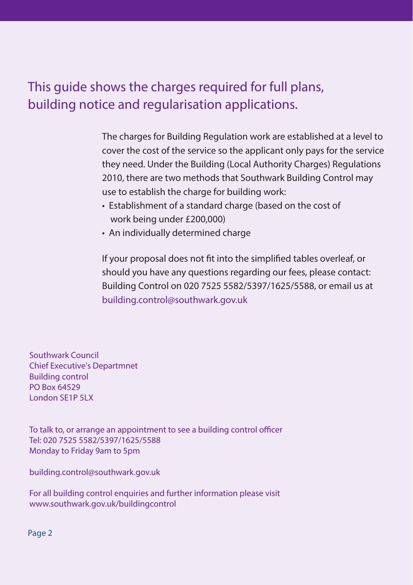# This guide shows the charges required for full plans, building notice and regularisation applications.

The charges for Building Regulation work are established at a level to cover the cost of the service so the applicant only pays for the service they need. Under the Building (Local Authority Charges) Regulations 2010, there are two methods that Southwark Building Control may use to establish the charge for building work:

- Establishment of a standard charge (based on the cost of work being under £200,000)
- An individually determined charge

If your proposal does not fit into the simplified tables overleaf, or should you have any questions regarding our fees, please contact: Building Control on 020 7525 5582/5397/1625/5588, or email us at building.control@southwark.gov.uk

Southwark Council Chief Executive's Departmnet Building control PO Box 64529 London SE1P 5LX

To talk to, or arrange an appointment to see a building control officer Tel: 020 7525 5582/5397/1625/5588 Monday to Friday 9am to 5pm

building.control@southwark.gov.uk

For all building control enquiries and further information please visit www.southwark.gov.uk/buildingcontrol

Page 2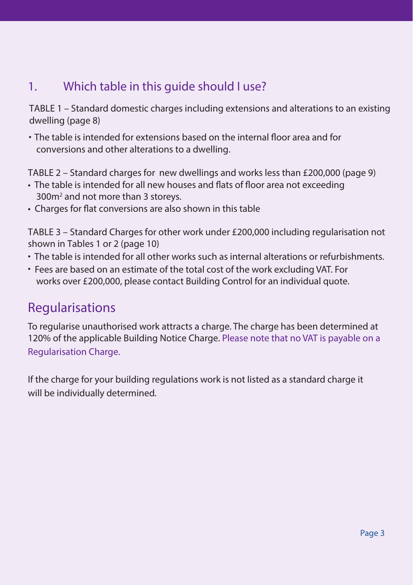# 1. Which table in this guide should I use?

TABLE 1 – Standard domestic charges including extensions and alterations to an existing dwelling (page 8)

• The table is intended for extensions based on the internal floor area and for conversions and other alterations to a dwelling.

TABLE 2 – Standard charges for new dwellings and works less than £200,000 (page 9)

- The table is intended for all new houses and flats of floor area not exceeding 300m2 and not more than 3 storeys.
- Charges for flat conversions are also shown in this table

TABLE 3 – Standard Charges for other work under £200,000 including regularisation not shown in Tables 1 or 2 (page 10)

- The table is intended for all other works such as internal alterations or refurbishments.
- Fees are based on an estimate of the total cost of the work excluding VAT. For works over £200,000, please contact Building Control for an individual quote.

## Regularisations

To regularise unauthorised work attracts a charge. The charge has been determined at 120% of the applicable Building Notice Charge. Please note that no VAT is payable on a Regularisation Charge.

If the charge for your building regulations work is not listed as a standard charge it will be individually determined.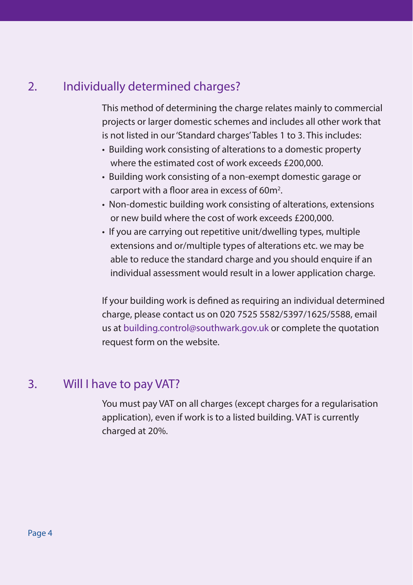## 2. Individually determined charges?

This method of determining the charge relates mainly to commercial projects or larger domestic schemes and includes all other work that is not listed in our 'Standard charges' Tables 1 to 3. This includes:

- Building work consisting of alterations to a domestic property where the estimated cost of work exceeds £200,000.
- Building work consisting of a non-exempt domestic garage or carport with a floor area in excess of 60 $m<sup>2</sup>$ .
- Non-domestic building work consisting of alterations, extensions or new build where the cost of work exceeds £200,000.
- If you are carrying out repetitive unit/dwelling types, multiple extensions and or/multiple types of alterations etc. we may be able to reduce the standard charge and you should enquire if an individual assessment would result in a lower application charge.

If your building work is defined as requiring an individual determined charge, please contact us on 020 7525 5582/5397/1625/5588, email us at building.control@southwark.gov.uk or complete the quotation request form on the website.

#### 3. Will I have to pay VAT?

You must pay VAT on all charges (except charges for a regularisation application), even if work is to a listed building. VAT is currently charged at 20%.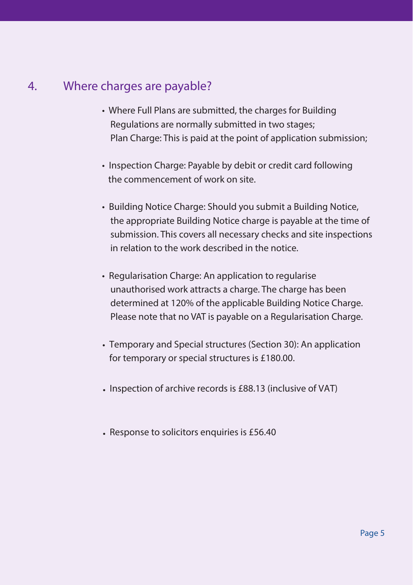## 4. Where charges are payable?

- Where Full Plans are submitted, the charges for Building Regulations are normally submitted in two stages; Plan Charge: This is paid at the point of application submission;
- Inspection Charge: Payable by debit or credit card following the commencement of work on site.
- Building Notice Charge: Should you submit a Building Notice, the appropriate Building Notice charge is payable at the time of submission. This covers all necessary checks and site inspections in relation to the work described in the notice.
- Regularisation Charge: An application to regularise unauthorised work attracts a charge. The charge has been determined at 120% of the applicable Building Notice Charge. Please note that no VAT is payable on a Regularisation Charge.
- Temporary and Special structures (Section 30): An application for temporary or special structures is £180.00.
- Inspection of archive records is £88.13 (inclusive of VAT)
- Response to solicitors enquiries is £56.40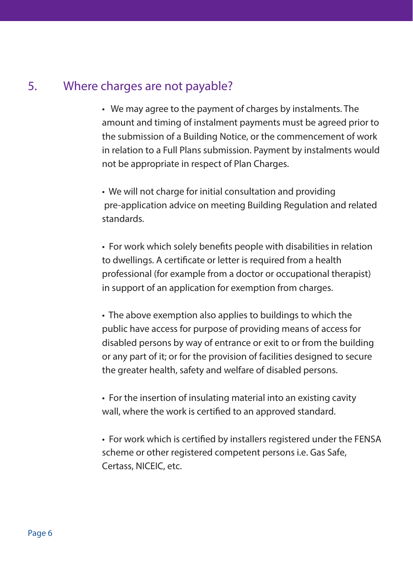### 5. Where charges are not payable?

• We may agree to the payment of charges by instalments. The amount and timing of instalment payments must be agreed prior to the submission of a Building Notice, or the commencement of work in relation to a Full Plans submission. Payment by instalments would not be appropriate in respect of Plan Charges.

• We will not charge for initial consultation and providing pre-application advice on meeting Building Regulation and related standards.

• For work which solely benefits people with disabilities in relation to dwellings. A certificate or letter is required from a health professional (for example from a doctor or occupational therapist) in support of an application for exemption from charges.

• The above exemption also applies to buildings to which the public have access for purpose of providing means of access for disabled persons by way of entrance or exit to or from the building or any part of it; or for the provision of facilities designed to secure the greater health, safety and welfare of disabled persons.

• For the insertion of insulating material into an existing cavity wall, where the work is certified to an approved standard.

• For work which is certified by installers registered under the FENSA scheme or other registered competent persons i.e. Gas Safe, Certass, NICEIC, etc.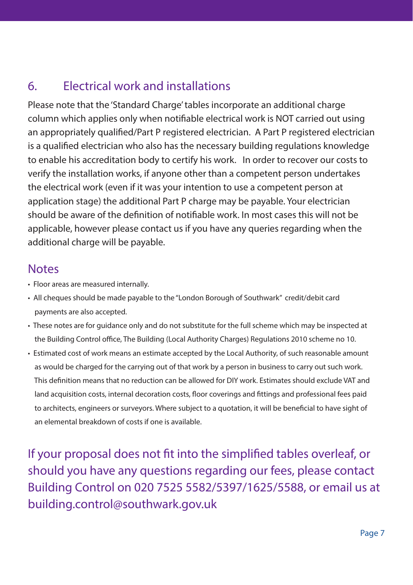# 6. Electrical work and installations

Please note that the 'Standard Charge' tables incorporate an additional charge column which applies only when notifiable electrical work is NOT carried out using an appropriately qualified/Part P registered electrician. A Part P registered electrician is a qualified electrician who also has the necessary building regulations knowledge to enable his accreditation body to certify his work. In order to recover our costs to verify the installation works, if anyone other than a competent person undertakes the electrical work (even if it was your intention to use a competent person at application stage) the additional Part P charge may be payable. Your electrician should be aware of the definition of notifiable work. In most cases this will not be applicable, however please contact us if you have any queries regarding when the additional charge will be payable.

### **Notes**

- Floor areas are measured internally.
- All cheques should be made payable to the "London Borough of Southwark" credit/debit card payments are also accepted.
- These notes are for guidance only and do not substitute for the full scheme which may be inspected at the Building Control office, The Building (Local Authority Charges) Regulations 2010 scheme no 10.
- Estimated cost of work means an estimate accepted by the Local Authority, of such reasonable amount as would be charged for the carrying out of that work by a person in business to carry out such work. This definition means that no reduction can be allowed for DIY work. Estimates should exclude VAT and land acquisition costs, internal decoration costs, floor coverings and fittings and professional fees paid to architects, engineers or surveyors. Where subject to a quotation, it will be beneficial to have sight of an elemental breakdown of costs if one is available.

If your proposal does not fit into the simplified tables overleaf, or should you have any questions regarding our fees, please contact Building Control on 020 7525 5582/5397/1625/5588, or email us at building.control@southwark.gov.uk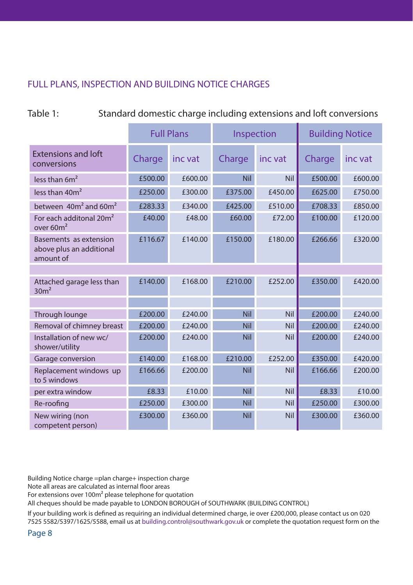#### FULL PLANS, INSPECTION AND BUILDING NOTICE CHARGES

| Table 1: | Standard domestic charge including extensions and loft conversions |
|----------|--------------------------------------------------------------------|
|----------|--------------------------------------------------------------------|

|                                                                 | <b>Full Plans</b> |         | Inspection |            | <b>Building Notice</b> |         |
|-----------------------------------------------------------------|-------------------|---------|------------|------------|------------------------|---------|
| <b>Extensions and loft</b><br>conversions                       | Charge            | inc vat | Charge     | inc vat    | Charge                 | inc vat |
| less than $6m^2$                                                | £500.00           | £600.00 | <b>Nil</b> | <b>Nil</b> | £500.00                | £600.00 |
| less than 40m <sup>2</sup>                                      | £250.00           | £300.00 | £375.00    | £450.00    | £625.00                | £750.00 |
| between $40m^2$ and $60m^2$                                     | £283.33           | £340.00 | £425.00    | £510.00    | £708.33                | £850.00 |
| For each additonal 20m <sup>2</sup><br>over 60m <sup>2</sup>    | £40.00            | £48.00  | £60.00     | £72.00     | £100.00                | £120.00 |
| Basements as extension<br>above plus an additional<br>amount of | £116.67           | £140.00 | £150.00    | £180.00    | £266.66                | £320.00 |
|                                                                 |                   |         |            |            |                        |         |
| Attached garage less than<br>30m <sup>2</sup>                   | £140.00           | £168.00 | £210.00    | £252.00    | £350.00                | £420.00 |
|                                                                 |                   |         |            |            |                        |         |
| Through lounge                                                  | £200.00           | £240.00 | <b>Nil</b> | Nil        | £200.00                | £240.00 |
| Removal of chimney breast                                       | £200.00           | £240.00 | <b>Nil</b> | Nil        | £200.00                | £240.00 |
| Installation of new wc/<br>shower/utility                       | £200.00           | £240.00 | <b>Nil</b> | Nil        | £200.00                | £240.00 |
| Garage conversion                                               | £140.00           | £168.00 | £210.00    | £252.00    | £350.00                | £420.00 |
| Replacement windows up<br>to 5 windows                          | £166.66           | £200.00 | Nil        | Nil        | £166.66                | £200.00 |
| per extra window                                                | £8.33             | £10.00  | <b>Nil</b> | Nil        | £8.33                  | £10.00  |
| Re-roofing                                                      | £250.00           | £300.00 | <b>Nil</b> | <b>Nil</b> | £250.00                | £300.00 |
| New wiring (non<br>competent person)                            | £300.00           | £360.00 | Nil        | Nil        | £300.00                | £360.00 |

Building Notice charge =plan charge+ inspection charge

Note all areas are calculated as internal floor areas

For extensions over 100m² please telephone for quotation

All cheques should be made payable to LONDON BOROUGH of SOUTHWARK (BUILDING CONTROL)

If your building work is defined as requiring an individual determined charge, ie over £200,000, please contact us on 020 7525 5582/5397/1625/5588, email us at building.control@southwark.gov.uk or complete the quotation request form on the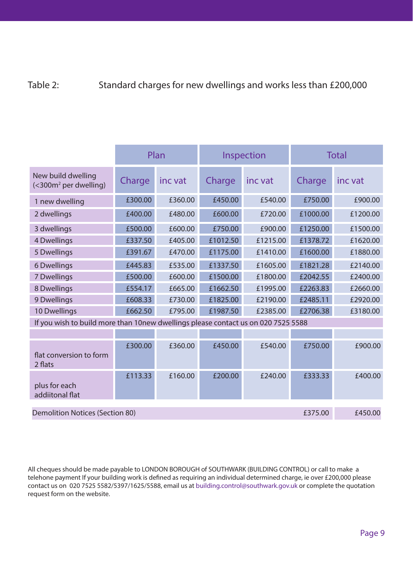#### Table 2: Standard charges for new dwellings and works less than £200,000

|                                                                                   | Plan    |         |          | Inspection | <b>Total</b> |          |  |
|-----------------------------------------------------------------------------------|---------|---------|----------|------------|--------------|----------|--|
| New build dwelling<br>$\left( 300m2$ per dwelling)                                | Charge  | inc vat | Charge   | inc vat    | Charge       | inc vat  |  |
| 1 new dwelling                                                                    | £300.00 | £360.00 | £450.00  | £540.00    | £750.00      | £900.00  |  |
| 2 dwellings                                                                       | £400.00 | £480.00 | £600.00  | £720.00    | £1000.00     | £1200.00 |  |
| 3 dwellings                                                                       | £500.00 | £600.00 | £750.00  | £900.00    | £1250.00     | £1500.00 |  |
| 4 Dwellings                                                                       | £337.50 | £405.00 | £1012.50 | £1215.00   | £1378.72     | £1620.00 |  |
| 5 Dwellings                                                                       | £391.67 | £470.00 | £1175.00 | £1410.00   | £1600.00     | £1880.00 |  |
| 6 Dwellings                                                                       | £445.83 | £535.00 | £1337.50 | £1605.00   | £1821.28     | £2140.00 |  |
| 7 Dwellings                                                                       | £500.00 | £600.00 | £1500.00 | £1800.00   | £2042.55     | £2400.00 |  |
| 8 Dwellings                                                                       | £554.17 | £665.00 | £1662.50 | £1995.00   | £2263.83     | £2660.00 |  |
| 9 Dwellings                                                                       | £608.33 | £730.00 | £1825.00 | £2190.00   | £2485.11     | £2920.00 |  |
| 10 Dwellings                                                                      | £662.50 | £795.00 | £1987.50 | £2385.00   | £2706.38     | £3180.00 |  |
| If you wish to build more than 10new dwellings please contact us on 020 7525 5588 |         |         |          |            |              |          |  |
|                                                                                   |         |         |          |            |              |          |  |
| flat conversion to form<br>2 flats                                                | £300.00 | £360.00 | £450.00  | £540.00    | £750.00      | £900.00  |  |
| plus for each<br>addiitonal flat                                                  | £113.33 | £160.00 | £200.00  | £240.00    | £333.33      | £400.00  |  |
| Demolition Notices (Section 80)<br>£375.00                                        |         |         |          |            |              | £450.00  |  |

All cheques should be made payable to LONDON BOROUGH of SOUTHWARK (BUILDING CONTROL) or call to make a telehone payment If your building work is defined as requiring an individual determined charge, ie over £200,000 please contact us on 020 7525 5582/5397/1625/5588, email us at building.control@southwark.gov.uk or complete the quotation request form on the website.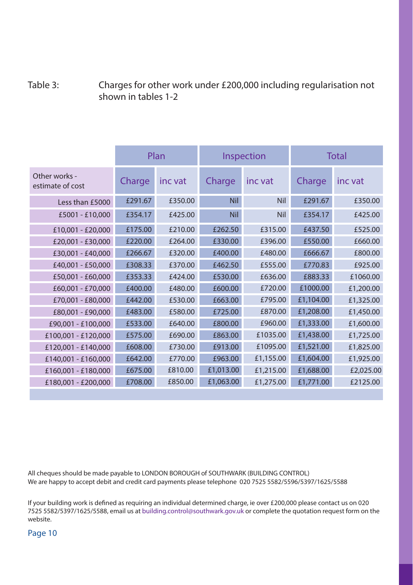#### Table 3: Charges for other work under £200,000 including regularisation not shown in tables 1-2

|                                   | Plan    |         | Inspection |            | Total     |           |
|-----------------------------------|---------|---------|------------|------------|-----------|-----------|
| Other works -<br>estimate of cost | Charge  | inc vat | Charge     | inc vat    | Charge    | inc vat   |
| Less than £5000                   | £291.67 | £350.00 | <b>Nil</b> | Nil        | £291.67   | £350.00   |
| £5001 - £10,000                   | £354.17 | £425.00 | <b>Nil</b> | <b>Nil</b> | £354.17   | £425.00   |
| £10,001 - £20,000                 | £175.00 | £210.00 | £262.50    | £315.00    | £437.50   | £525.00   |
| £20,001 - £30,000                 | £220.00 | £264.00 | £330.00    | £396.00    | £550.00   | £660.00   |
| £30,001 - £40,000                 | £266.67 | £320.00 | £400.00    | £480.00    | £666.67   | £800.00   |
| £40,001 - £50,000                 | £308.33 | £370.00 | £462.50    | £555.00    | £770.83   | £925.00   |
| £50,001 - £60,000                 | £353.33 | £424.00 | £530.00    | £636.00    | £883.33   | £1060.00  |
| £60,001 - £70,000                 | £400.00 | £480.00 | £600.00    | £720.00    | £1000.00  | £1,200.00 |
| £70,001 - £80,000                 | £442.00 | £530.00 | £663.00    | £795.00    | £1,104.00 | £1,325.00 |
| £80,001 - £90,000                 | £483.00 | £580.00 | £725.00    | £870.00    | £1,208.00 | £1,450.00 |
| £90,001 - £100,000                | £533.00 | £640.00 | £800.00    | £960.00    | £1,333.00 | £1,600.00 |
| £100,001 - £120,000               | £575.00 | £690.00 | £863.00    | £1035.00   | £1,438.00 | £1,725.00 |
| £120,001 - £140,000               | £608.00 | £730.00 | £913.00    | £1095.00   | £1,521.00 | £1,825.00 |
| £140,001 - £160,000               | £642.00 | £770.00 | £963.00    | £1,155.00  | £1,604.00 | £1,925.00 |
| £160,001 - £180,000               | £675.00 | £810.00 | £1,013.00  | £1,215.00  | £1,688.00 | £2,025.00 |
| £180,001 - £200,000               | £708.00 | £850.00 | £1,063.00  | £1,275.00  | £1,771.00 | £2125.00  |

All cheques should be made payable to LONDON BOROUGH of SOUTHWARK (BUILDING CONTROL) We are happy to accept debit and credit card payments please telephone 020 7525 5582/5596/5397/1625/5588

If your building work is defined as requiring an individual determined charge, ie over £200,000 please contact us on 020 7525 5582/5397/1625/5588, email us at building.control@southwark.gov.uk or complete the quotation request form on the website.

Page 10